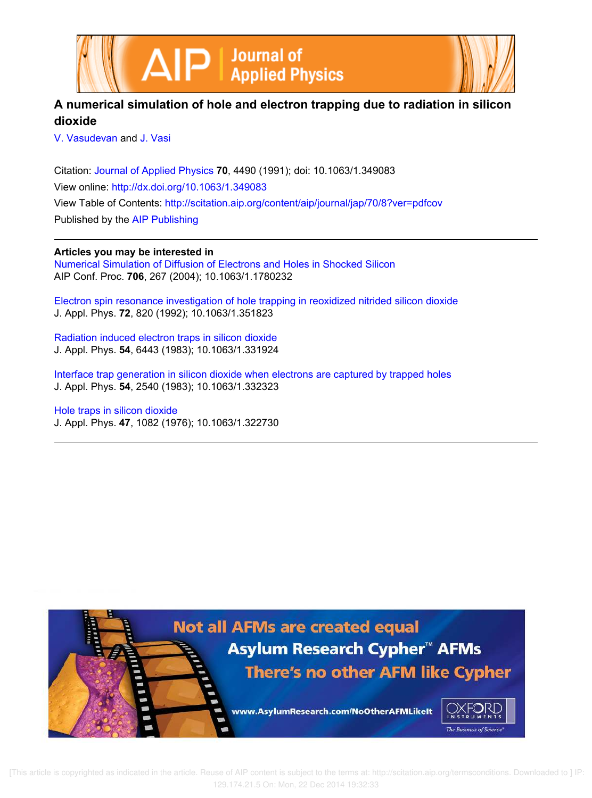



# **A numerical simulation of hole and electron trapping due to radiation in silicon dioxide**

V. Vasudevan and J. Vasi

Citation: Journal of Applied Physics **70**, 4490 (1991); doi: 10.1063/1.349083 View online: http://dx.doi.org/10.1063/1.349083 View Table of Contents: http://scitation.aip.org/content/aip/journal/jap/70/8?ver=pdfcov Published by the AIP Publishing

**Articles you may be interested in** Numerical Simulation of Diffusion of Electrons and Holes in Shocked Silicon AIP Conf. Proc. **706**, 267 (2004); 10.1063/1.1780232

Electron spin resonance investigation of hole trapping in reoxidized nitrided silicon dioxide J. Appl. Phys. **72**, 820 (1992); 10.1063/1.351823

Radiation induced electron traps in silicon dioxide J. Appl. Phys. **54**, 6443 (1983); 10.1063/1.331924

Interface trap generation in silicon dioxide when electrons are captured by trapped holes J. Appl. Phys. **54**, 2540 (1983); 10.1063/1.332323

Hole traps in silicon dioxide J. Appl. Phys. **47**, 1082 (1976); 10.1063/1.322730

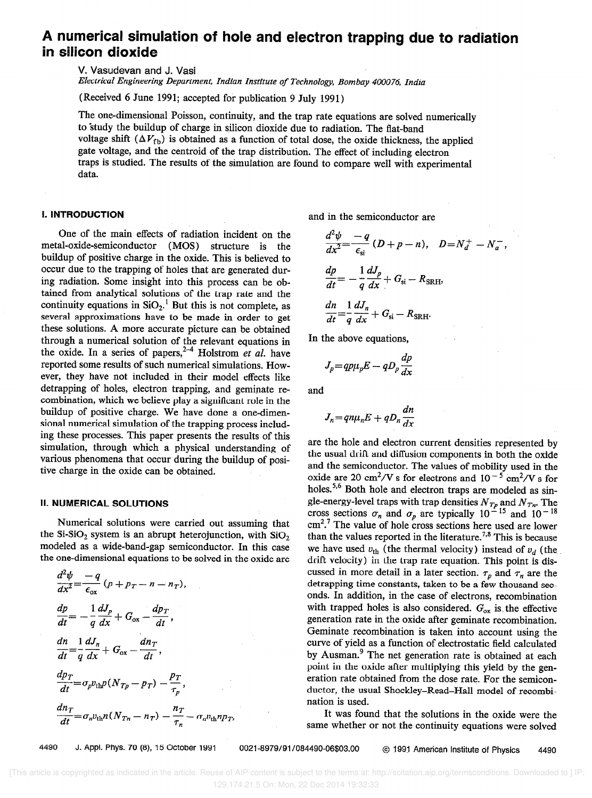# A numerical simulation of hole and electron trapping due to radiation in silicon dioxide

V. Vasudevan and J. Vasi

Electrical Engineering Department, Indian Institute of Technology, Bombay 400076, India

(Received 6 June 1991; accepted for publication 9 July 1991)

The one-dimensional Poisson, continuity, and the trap rate equations are solved numerically to "study the buildup of charge in silicon dioxide due to radiation. The flat-band voltage shift  $(\Delta V_{\text{fb}})$  is obtained as a function of total dose, the oxide thickness, the applied gate voltage, and the centroid of the trap distribution. The effect of including electron traps is studied. The results of the simulation are found to compare well with experimental data.

### **I. INTRODUCTION**

One of the main effects of radiation incident on the metal-oxide-semiconductor (MOS) structure is the buildup of positive charge in the oxide. This is believed to occur due to the trapping of holes that are generated during radiation. Some insight into this process can be obtained from analytical solutions of the trap rate and the continuity equations in  $SiO<sub>2</sub>$ .<sup>1</sup> But this is not complete, as several approximations have to be made in order to get these solutions. A more accurate picture can be obtained through a numerical solution of the relevant equations in the oxide. In a series of papers, **Holstrom** et al. have reported some results of such numerical simulations. However, they have not included in their model effects like detrapping of holes, electron trapping, and geminate recombination, which we believe play a significant role in the buildup of positive charge. We have done a one-dimensional numerical simulation of the trapping process including these processes. This paper presents the results of this simulation, through which a physical understanding of various phenomena that occur during the buildup of positive charge in the oxide can be obtained.

#### II. NUMERICAL SOLUTIONS

Numerical solutions were carried out assuming that the Si-SiO<sub>2</sub> system is an abrupt heterojunction, with SiO<sub>2</sub> modeled as a wide-band-gap semiconductor. In this case the one-dimensional equations to be solved in the oxide are

$$
\frac{d^2\psi}{dx^2} = \frac{-q}{\epsilon_{ox}} (p + p_T - n - n_T),
$$
\n
$$
\frac{dp}{dt} = -\frac{1}{q} \frac{dJ_p}{dx} + G_{ox} - \frac{dp_T}{dt},
$$
\n
$$
\frac{dn}{dt} = \frac{1}{q} \frac{dJ_n}{dx} + G_{ox} - \frac{dn_T}{dt},
$$
\n
$$
\frac{dp_T}{dt} = \sigma_p v_{\text{th}} p (N_{Tp} - p_T) - \frac{p_T}{\tau_p},
$$
\n
$$
\frac{dn_T}{dt} = \sigma_n v_{\text{th}} n (N_{Ta} - n_T) - \frac{n_T}{\tau_n} - \sigma_n v_{\text{th}} n p_T,
$$

and in the semiconductor are

$$
\frac{d^2\psi}{dx^2} = \frac{-q}{\epsilon_{si}} (D + p - n), \quad D = N_d^+ - N_a^-
$$
  

$$
\frac{dp}{dt} = -\frac{1}{q} \frac{dJ_p}{dx} + G_{si} - R_{SRH},
$$
  

$$
\frac{dn}{dt} = \frac{1}{q} \frac{dJ_n}{dx} + G_{si} - R_{SRH}.
$$

In the above equations,

$$
J_p = qp\mu_p E - qD_p \frac{dp}{dx}
$$

and

$$
J_n = qn\mu_n E + qD_n \frac{dn}{dx}
$$

are the hole and electron current densities represented by the usual drift and diffusion components in both the oxide and the semiconductor. The values of mobility used in the oxide are 20 cm<sup>2</sup>/V s for electrons and  $10^{-5}$  cm<sup>2</sup>/V s for holes.<sup>5,6</sup> Both hole and electron traps are modeled as single-energy-level traps with trap densities  $N_{T_p}$  and  $N_{T_n}$ . The cross sections  $\sigma_n$  and  $\sigma_p$  are typically 10<sup>-15</sup> and 10<sup>-16</sup>  $cm<sup>2.7</sup>$  The value of hole cross sections here used are lower than the values reported in the literature.<sup>7,8</sup> This is because we have used  $v_{\text{th}}$  (the thermal velocity) instead of  $v_d$  (the drift velocity) in the trap rate equation. This point is discussed in more detail in a later section.  $\tau_p$  and  $\tau_n$  are the detrapping time constants, taken to be a few thousand seconds. In addition, in the case of electrons, recombination with trapped holes is also considered.  $G_{\alpha x}$  is the effective generation rate in the oxide after geminate recombination. Geminate recombination is taken into account using the curve of yield as a function of electrostatic field calculated by Ausman.<sup>9</sup> The net generation rate is obtained at each point in the oxide after multiplying this yield by the generation rate obtained from the dose rate. For the semiconductor, the usual Shockley-Read-Hall model of recombination is used.

It was found that the solutions in the oxide were the same whether or not the continuity equations were solved

4490 J. Appl. Phys. 70 (8), 15 October 1991 0021-8979/91/084490-06\$03.00 © 1991 American Institute of Physics 4490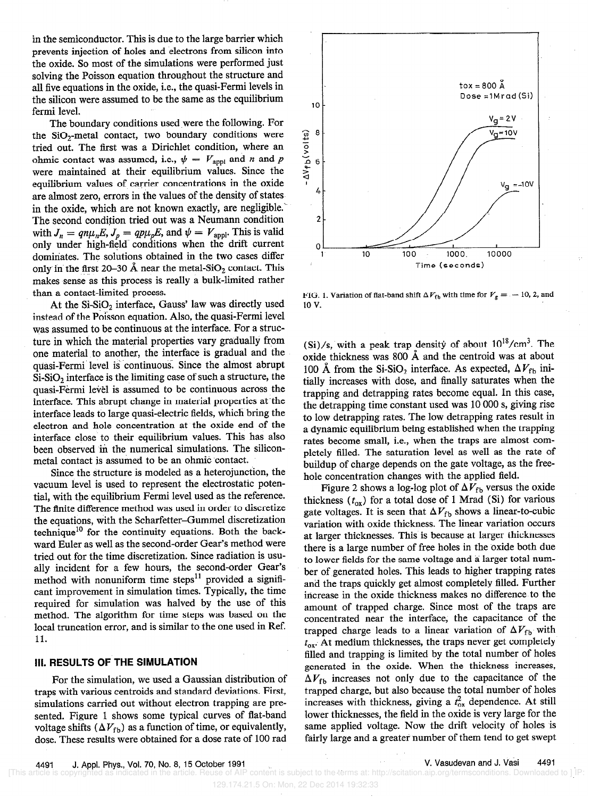in the semiconductor. This is due to the large barrier which prevents injection of holes and electrons from silicon into the oxide. So most of the simulations were performed just solving the Poisson equation throughout the structure and all five equations in the oxide, i.e., the quasi-Fermi levels in the silicon were assumed to be the same as the equilibrium fermi level.

The boundary conditions used were the following. For the SiO,-metal contact, two boundary conditions were tried out. The first was a Dirichlet condition, where an ohmic contact was assumed, i.e.,  $\psi = V_{\text{appl}}$  and n and p were maintained at their equilibrium values. Since the equilibrium values of carrier concentrations in the oxide are almost zero, errors in the values of the density of states. in the oxide, which are not known exactly, are negligible. The second condition tried out was a Neumann condition with  $J_n = qn\mu_nE$ ,  $J_p = qp\mu_pE$ , and  $\psi = V_{\text{appl}}$ . This is valid only under high-field- conditions when the drift current dominates. The solutions obtained in the two cases differ only in the first 20-30 Å near the metal-SiO<sub>2</sub> contact. This makes sense as this process is really a bulk-limited rather than a contact-limited process.

At the  $Si-SiO<sub>2</sub>$  interface, Gauss' law was directly used instead of the Poisson equation. Also, the quasi-Fermi level was assumed to be continuous at the interface. For a structure in which the material properties vary gradually from one material to another, the interface is gradual and the quasi-Fermi level is continuous. Since the almost abrupt  $Si-SiO<sub>2</sub>$  interface is the limiting case of such a structure, the quasi-Fermi level is assumed to be continuous across the interface. This abrupt change in material properties at'the interface leads to large quasi-electric fields, which bring the electron and hole concentration at the oxide end of the interface close to their equilibrium values. This has also been observed in the numerical simulations. The siliconmetal contact is assumed to be an ohmic contact.

Since the structure is modeled as a heterojunction, the vacuum level is used to represent the electrostatic potential, with the equilibrium Fermi level used as the reference. The finite difference method was used in order to discretize the equations, with the Scharfetter-Gummel discretization technique<sup>10</sup> for the continuity equations. Both the backward Euler as well as the second-order Gear's method were tried out for the time discretization. Since radiation is usually incident for a few hours, the second-order Gear's method with nonuniform time steps $^{11}$  provided a significant improvement in simulation times. Typically, the time required for simulation was halved by the use of this method. The algorithm for time steps was based on the local truncation error, and is similar to the one used in Ref. 11.

#### III. RESULTS OF THE SIMULATION

For the simulation, we used a Gaussian distribution of traps with various centroids and standard deviations. First, simulations carried out without electron trapping are presented. Figure 1 shows some typical curves of flat-band voltage shifts  $(\Delta V_{\text{fb}})$  as a function of time, or equivalently, dose. These results were obtained for a dose rate of 100 rad



FIG. 1. Variation of flat-band shift  $\Delta V_{\text{fb}}$  with time for  $V_g = -10$ , 2, and 10 v.

(Si)/s, with a peak trap density of about  $10^{18}/\text{cm}^3$ . The oxide thickness was 800  $\AA$  and the centroid was at about 100 Å from the Si-SiO<sub>2</sub> interface. As expected,  $\Delta V_{\rm fb}$  initially increases with dose, and finally saturates when the trapping and detrapping rates become equal. In this case, the detrapping time constant used was 10 000 s, giving rise to low detrapping rates. The low detrapping rates result in a dynamic equilibrium being established when the trapping rates become small, i.e., when the traps are almost completely filled. The saturation level as well as the rate of buildup of charge depends on the gate voltage, as the freehole concentration changes with the applied field.

Figure 2 shows a log-log plot of  $\Delta V_{\rm fb}$  versus the oxide thickness  $(t_{ox})$  for a total dose of 1 Mrad (Si) for various gate voltages. It is seen that  $\Delta V_{\text{fb}}$  shows a linear-to-cubic variation with oxide thickness. The linear variation occurs at larger thicknesses. This is because at larger thicknesses there is a large number of free holes in the oxide both due to lower fields for the same voltage and a larger total number of generated holes. This leads to higher trapping rates and the traps quickly get almost completely filled. Further increase in the oxide thickness makes no difference to the amount of trapped charge. Since most of the traps are concentrated near the interface, the capacitance of the trapped charge leads to a linear variation of  $\Delta V_{\rm fb}$  with  $t_{ox}$ . At medium thicknesses, the traps never get completely filled and trapping is limited by the total number of holes generated in the oxide. When the thickness increases,  $\Delta V_{\text{fb}}$  increases not only due to the capacitance of the trapped charge, but also because the total number of holes increases with thickness, giving a  $t<sub>ox</sub><sup>2</sup>$  dependence. At still lower thicknesses, the field in the oxide is very large for the same applied voltage. Now the drift velocity of holes is fairly large and a greater number of them tend to get swept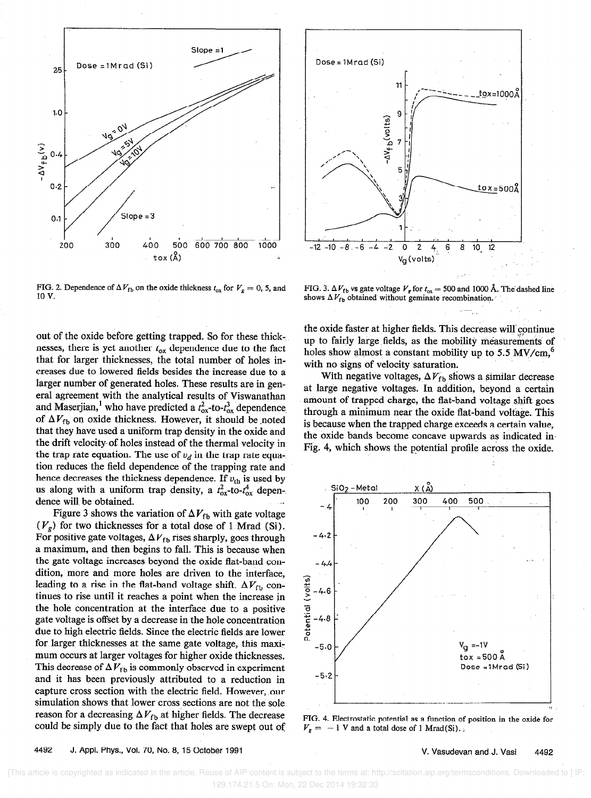

FIG. 2. Dependence of  $\Delta V_{\text{fb}}$  on the oxide thickness  $t_{\text{ox}}$  for  $V_g = 0$ , 5, and 10 v.

out of the oxide before getting trapped. So for these thick-. nesses, there is yet another  $t_{\rm ox}$  dependence due to the fact that for larger thicknesses, the total number of holes increases due to lowered fields besides the increase due to a larger number of generated holes. These results are in general agreement with the analytical results of Viswanathan and Maserjian,<sup>1</sup> who have predicted a  $t_{ox}^2$ -to- $t_{ox}^3$  dependence of  $\Delta V_{\text{fb}}$  on oxide thickness. However, it should be noted that they have used a uniform trap density in the oxide and the drift velocity- of holes instead of the thermal velocity in the trap rate equation. The use of  $v_d$  in the trap rate equation reduces the field dependence of the trapping rate and hence decreases the thickness dependence. If  $v_{\text{th}}$  is used by us along with a uniform trap density, a  $t_{ox}^2$ -to- $t_{ox}^4$  dependence will be obtained.

Figure 3 shows the variation of  $\Delta V_{\text{fb}}$  with gate voltage  $(V_{\rm g})$  for two thicknesses for a total dose of 1 Mrad (Si). For positive gate voltages,  $\Delta V_{\rm fb}$  rises sharply, goes through a maximum, and then begins to fall. This is because when the gate voltage increases beyond the oxide fiat-band condition, more and more holes are driven to the interface, leading to a rise in the flat-band voltage shift.  $\Delta V_{\rm fb}$  continues to rise until it reaches a point when the increase in the hole concentration at the interface due to a positive gate voltage is offset by a decrease in the hole concentration due to high electric fields. Since the electric fields are lower for larger thicknesses at the same gate voltage, this maximum occurs at larger voltages for higher oxide thicknesses. This decrease of  $\Delta V_\mathrm{fb}$  is commonly observed in experiment and it has been previously attributed to a reduction in capture cross section with the electric field. However, our simulation shows that lower cross sections are not the sole reason for a decreasing  $\Delta V_{\text{fb}}$  at higher fields. The decrease could be simply due to the fact that holes are swept out of



FIG. 3.  $\Delta V_{\text{fb}}$  vs gate voltage  $V_{\text{g}}$  for  $t_{\text{ox}} = 500$  and 1000 Å. The dashed line shows  $\Delta V_{\text{fb}}$  obtained without geminate recombination.

the oxide faster at higher fields. This decrease will continue up to fairly large fields, as the mobility measurements of holes show almost a constant mobility up to 5.5  $MV/cm$ ,<sup>6</sup> with no signs of velocity saturation.

With negative voltages,  $\Delta V_{\text{fb}}$  shows a similar decrease at large negative voltages. In addition, beyond a certain amount of trapped charge, the flat-band voltage shift goes through a minimum near the oxide flat-band voltage. This is because when the trapped charge exceeds a certain value, the oxide bands become concave upwards as indicated in-Fig. 4, which shows the potential profile across the oxide.



FIG. 4. Electrostatic potential as a function of position in the oxide for  $V<sub>g</sub> = -1$  V and a total dose of 1 Mrad(Si).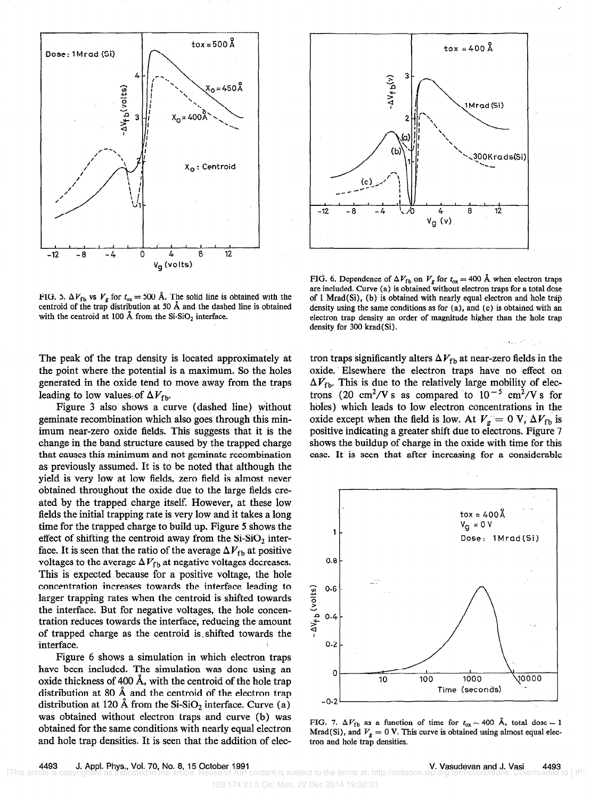



FIG. 5.  $\Delta V_{\rm fb}$  vs  $V_g$  for  $t_{ox} = 500$  Å. The solid line is obtained with the centroid of the trap distribution at 50 Å and the dashed line is obtained with the centroid at 100 Å from the  $Si-SiO<sub>2</sub>$  interface.

The peak of the trap density is located approximately at the point where the potential is a maximum. So the holes generated in the oxide tend to move away from the traps leading to low values of  $\Delta V_{\rm fb}$ .

Figure 3 also shows a curve (dashed line) without geminate recombination which also goes through this minimum near-zero oxide fields. This suggests that it is the change in the band structure caused by the trapped charge that causes this minimum and not geminate recombination as previously assumed. It is to be noted that although the yield is very low at low fields, zero field is almost never obtained throughout the oxide due to the large fields created by the trapped charge itself. However, at these low fields the initial trapping rate is very low and it takes a long time for the trapped charge to build up. Figure 5 shows the effect of shifting the centroid away from the  $Si-SiO<sub>2</sub>$  interface. It is seen that the ratio of the average  $\Delta V_{\rm fb}$  at positive voltages to the average  $\Delta V_\mathrm{fb}$  at negative voltages decreases. This is expected because for a positive voltage, the hole concentration increases towards the interface leading to larger trapping rates when the centroid is shifted towards the interface. But for negative voltages, the hole concentration reduces towards the interface, reducing the amount of trapped charge as the centroid is. shifted towards the interface.

Figure 6 shows a simulation in which electron traps have been included. The simulation was done using an oxide thickness of 400 A, with the centroid of the hole trap distribution at 80  $\AA$  and the centroid of the electron trap distribution at 120 Å from the  $Si-SiO<sub>2</sub>$  interface. Curve (a) was obtained without electron traps and curve (b) was obtained for the same conditions with nearly equal electron and hole trap densities. It is seen that the addition of elec-

FIG. 6. Dependence of  $\Delta V_{\text{fb}}$  on  $V_g$  for  $t_{ox} = 400$  Å when electron traps are included. Curve (a) is obtained without electron traps for a total dose of 1 Mrad(Si), (b) is obtained with nearly equal electron and hole trap density using the same conditions as for (a), and (c) is obtained with an electron trap density an order of magnitude higher than the hole trap density for 300 krad(Si).

tron traps significantly alters  $\Delta V_{\rm fb}$  at near-zero fields in the oxide. Elsewhere the electron traps have no effect on  $\Delta V_{\text{fb}}$ . This is due to the relatively large mobility of electrons (20 cm<sup>2</sup>/V s as compared to  $10^{-5}$  cm<sup>2</sup>/V s for holes) which leads to low electron concentrations in the oxide except when the field is low. At  $V_g = 0$  V,  $\Delta V_{\text{fb}}$  is positive indicating a greater shift due to electrons. Figure 7 shows the buildup of charge in the oxide with time for this case. It is seen that after increasing for a considerable



FIG. 7.  $\Delta V_{\text{fb}}$  as a function of time for  $t_{ox} = 400$  Å, total dose = 1 Mrad(Si), and  $V_g = 0$  V. This curve is obtained using almost equal electron and hole trap densities.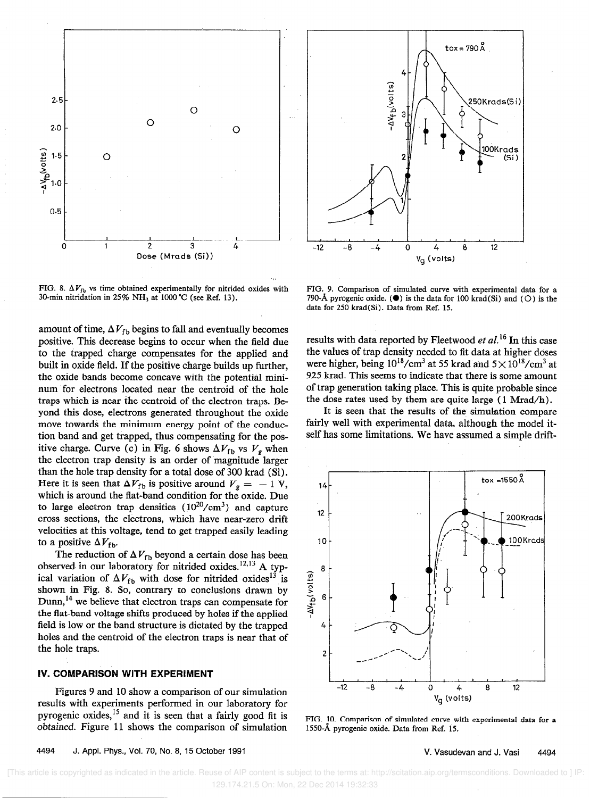

FIG. 8.  $\Delta V_{\text{fb}}$  vs time obtained experimentally for nitrided oxides with 30-min nitridation in  $25\%$  NH<sub>3</sub> at 1000 °C (see Ref. 13).

amount of time,  $\Delta V_{\text{fh}}$  begins to fall and eventually becomes positive. This decrease begins to occur when the field due to the trapped charge compensates for the applied and built in oxide field. If the positive charge builds up further, the oxide bands become concave with the potential mininum for electrons located near the centroid of the hole traps which is near the centroid of the electron traps. Beyond this dose, electrons generated throughout the oxide move towards the minimum energy point of the conduction band and get trapped, thus compensating for the positive charge. Curve (c) in Fig. 6 shows  $\Delta V_{\text{fb}}$  vs  $V_g$  when the electron trap density is an order of magnitude larger than the hole trap density for a total dose of 300 krad (Si). Here it is seen that  $\Delta V_{\text{fb}}$  is positive around  $V_g = -1$  V, which is around the flat-band condition for the oxide. Due to large electron trap densities  $(10^{20}/\text{cm}^3)$  and capture cross sections, the electrons, which have near-zero drift velocities at this voltage, tend to get trapped easily leading to a positive  $\Delta V_{\text{fb}}$ .

The reduction of  $\Delta V_{\text{fb}}$  beyond a certain dose has been observed in our laboratory for nitrided oxides.<sup>12,13</sup> A typical variation of  $\Delta V_{\rm fb}$  with dose for nitrided oxides<sup>13</sup> is shown in Fig. 8. So, contrary to conclusions drawn by Dunn,<sup>14</sup> we believe that electron traps can compensate for the flat-band voltage shifts produced by holes if the applied field is low or the band structure is dictated by the trapped holes and the centroid of the electron traps is near that of the hole traps.

### IV. COMPARISON WITH EXPERIMENT

Figures 9 and 10 show a comparison of our simulation results with experiments performed in our laboratory for pyrogenic oxides,<sup>15</sup> and it is seen that a fairly good fit is obtained. Figure 11 shows the comparison of simulation



FIG. 9. Comparison of simulated curve with experimental data for a 790-Å pyrogenic oxide. ( $\bullet$ ) is the data for 100 krad(Si) and (O) is the data for 250 krad(Si). Data from Ref. 15.

results with data reported by Fleetwood *et al.*<sup>16</sup> In this case the values of trap density needed to iit data at higher doses were higher, being  $10^{18}/\text{cm}^3$  at 55 krad and  $5 \times 10^{18}/\text{cm}^3$  at 925 krad. This seems to indicate that there is some amount of trap generation taking place. This is quite probable since the dose rates used by them are quite large ( 1 Mrad/h).

It is seen that the results of the simulation compare fairly well with experimental data, although the model itself has some limitations. We have assumed a simple drift-



FIG. 10. Comparison of simulated curve with experimental data for a 1550-8, pyrogenic oxide. Data from Ref. 15.

#### 4494 J. Appl. Phys., Vol. 70, No. 8, 15 October 1991